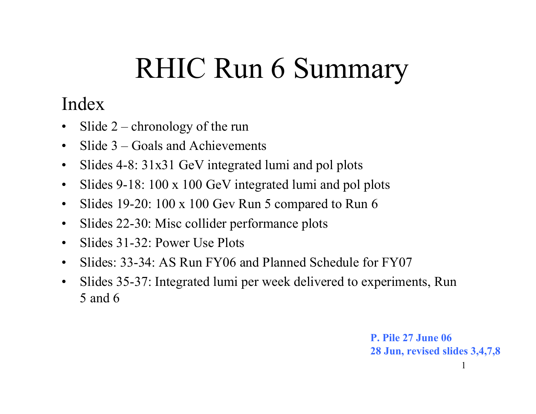# RHIC Run 6 Summary

### Index

- •Slide  $2$  – chronology of the run
- $\bullet$ Slide 3 – Goals and Achievements
- $\bullet$ Slides 4-8: 31x31 GeV integrated lumi and pol plots
- $\bullet$ Slides 9-18: 100 x 100 GeV integrated lumi and pol plots
- $\bullet$ Slides 19-20: 100 x 100 Gev Run 5 compared to Run 6
- $\bullet$ Slides 22-30: Misc collider performance plots
- $\bullet$ Slides 31-32: Power Use Plots
- $\bullet$ Slides: 33-34: AS Run FY06 and Planned Schedule for FY07
- $\bullet$  Slides 35-37: Integrated lumi per week delivered to experiments, Run 5 and 6

**P. Pile 27 June 0628 Jun, revised slides 3,4,7,8**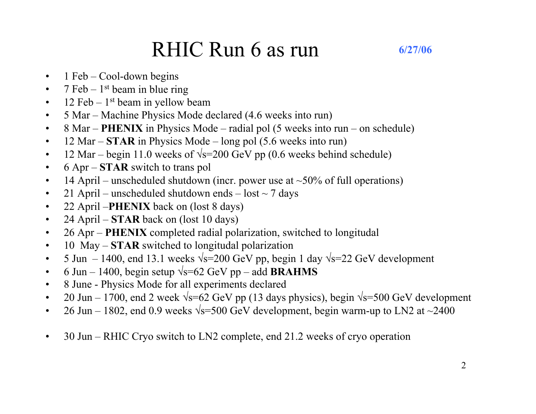### RHIC Run 6 as run

- $\bullet$ 1 Feb – Cool-down begins
- $\bullet$ 7 Feb –  $1<sup>st</sup>$  beam in blue ring
- $\bullet$ 12 Feb –  $1<sup>st</sup>$  beam in yellow beam
- $\bullet$ 5 Mar – Machine Physics Mode declared (4.6 weeks into run)
- $\bullet$ 8 Mar – **PHENIX** in Physics Mode – radial pol (5 weeks into run – on schedule)
- $\bullet$ 12 Mar – **STAR** in Physics Mode – long pol (5.6 weeks into run)
- $\bullet$ 12 Mar – begin 11.0 weeks of  $\sqrt{s}$ =200 GeV pp (0.6 weeks behind schedule)
- $\bullet$ 6 Apr – **STAR** switch to trans pol
- $\bullet$ 14 April – unscheduled shutdown (incr. power use at  $\sim$ 50% of full operations)
- $\bullet$ 21 April – unscheduled shutdown ends – lost  $\sim$  7 days
- $\bullet$ 22 April –**PHENIX** back on (lost 8 days)
- $\bullet$ 24 April – **STAR** back on (lost 10 days)
- $\bullet$ 26 Apr – **PHENIX** completed radial polarization, switched to longitudal
- $\bullet$ 10 May – **STAR** switched to longitudal polarization
- $\bullet$ 5 Jun – 1400, end 13.1 weeks  $\sqrt{s}$ =200 GeV pp, begin 1 day  $\sqrt{s}$ =22 GeV development
- $\bullet$ 6 Jun – 1400, begin setup  $\sqrt{s}$ =62 GeV pp – add **BRAHMS**
- $\bullet$ 8 June - Physics Mode for all experiments declared
- $\bullet$ 20 Jun – 1700, end 2 week  $\sqrt{s}$ =62 GeV pp (13 days physics), begin  $\sqrt{s}$ =500 GeV development
- $\bullet$ 26 Jun – 1802, end 0.9 weeks  $\sqrt{s}$ =500 GeV development, begin warm-up to LN2 at  $\sim$ 2400
- •30 Jun – RHIC Cryo switch to LN2 complete, end 21.2 weeks of cryo operation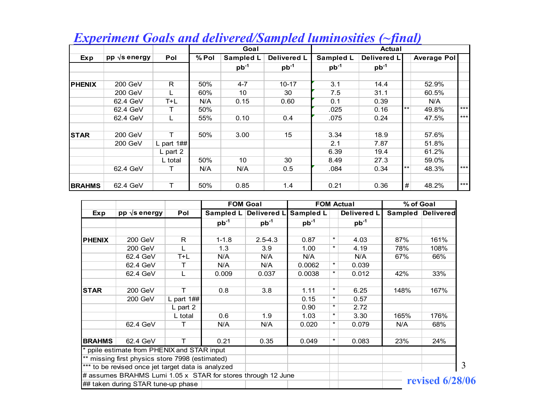|               |                      |             |       | Goal      |             |                  | <b>Actual</b> |       |                    |       |
|---------------|----------------------|-------------|-------|-----------|-------------|------------------|---------------|-------|--------------------|-------|
| Exp           | pp $\sqrt{s}$ energy | Pol         | % Pol | Sampled L | Delivered L | <b>Sampled L</b> | Delivered L   |       | <b>Average Pol</b> |       |
|               |                      |             |       | $pb^{-1}$ | $pb^{-1}$   | $pb^{-1}$        | $pb^{-1}$     |       |                    |       |
|               |                      |             |       |           |             |                  |               |       |                    |       |
| <b>PHENIX</b> | 200 GeV              | R           | 50%   | $4 - 7$   | $10 - 17$   | 3.1              | 14.4          |       | 52.9%              |       |
|               | 200 GeV              |             | 60%   | 10        | 30          | 7.5              | 31.1          |       | 60.5%              |       |
|               | 62.4 GeV             | T+L         | N/A   | 0.15      | 0.60        | 0.1              | 0.39          |       | N/A                |       |
|               | 62.4 GeV             |             | 50%   |           |             | .025             | 0.16          | $***$ | 49.8%              | $***$ |
|               | 62.4 GeV             |             | 55%   | 0.10      | 0.4         | .075             | 0.24          |       | 47.5%              | $***$ |
| <b>STAR</b>   | 200 GeV              | т           | 50%   | 3.00      | 15          | 3.34             | 18.9          |       | 57.6%              |       |
|               | 200 GeV              | L part $1#$ |       |           |             | 2.1              | 7.87          |       | 51.8%              |       |
|               |                      | $L$ part 2  |       |           |             | 6.39             | 19.4          |       | 61.2%              |       |
|               |                      | L total     | 50%   | 10        | 30          | 8.49             | 27.3          |       | 59.0%              |       |
|               | 62.4 GeV             |             | N/A   | N/A       | 0.5         | .084             | 0.34          | $***$ | 48.3%              | $***$ |
|               |                      |             |       |           |             |                  |               |       |                    |       |
| <b>BRAHMS</b> | 62.4 GeV             | Τ           | 50%   | 0.85      | 1.4         | 0.21             | 0.36          | #     | 48.2%              | $***$ |

#### *Experiment Goals and delivered/Sampled luminosities (~final)*

|               |                                                              |              |           |                    | <b>FOM Goal</b>  |         |             | <b>FOM Actual</b> | % of Goal         |  |  |
|---------------|--------------------------------------------------------------|--------------|-----------|--------------------|------------------|---------|-------------|-------------------|-------------------|--|--|
| Exp           | $pp \sqrt{s}$ energy                                         | Pol          | Sampled L | <b>Delivered I</b> | <b>Sampled L</b> |         | Delivered L |                   | Sampled Delivered |  |  |
|               |                                                              |              | $pb^{-1}$ | $pb^{-1}$          | $pb^{-1}$        |         | $pb^{-1}$   |                   |                   |  |  |
| <b>PHENIX</b> | 200 GeV                                                      | $\mathsf{R}$ | $1 - 1.8$ | $2.5 - 4.3$        | 0.87             | $\star$ | 4.03        | 87%               | 161%              |  |  |
|               | 200 GeV                                                      |              | 1.3       | 3.9                | 1.00             | $\star$ | 4.19        | 78%               | 108%              |  |  |
|               | 62.4 GeV                                                     | $T+L$        | N/A       | N/A                | N/A              |         | N/A         | 67%               | 66%               |  |  |
|               | 62.4 GeV                                                     | т            | N/A       | N/A                | 0.0062           | $\star$ | 0.039       |                   |                   |  |  |
|               | 62.4 GeV                                                     | L            | 0.009     | 0.037              | 0.0038           | $\star$ | 0.012       | 42%               | 33%               |  |  |
| <b>STAR</b>   | 200 GeV                                                      | т            | 0.8       | 3.8                | 1.11             | $\star$ | 6.25        | 148%              | 167%              |  |  |
|               | 200 GeV                                                      | L part $1#$  |           |                    | 0.15             | $\star$ | 0.57        |                   |                   |  |  |
|               |                                                              | $L$ part 2   |           |                    | 0.90             | $\star$ | 2.72        |                   |                   |  |  |
|               |                                                              | L total      | 0.6       | 1.9                | 1.03             | $\star$ | 3.30        | 165%              | 176%              |  |  |
|               | 62.4 GeV                                                     | т            | N/A       | N/A                | 0.020            | $\star$ | 0.079       | N/A               | 68%               |  |  |
| <b>BRAHMS</b> | 62.4 GeV                                                     | Т            | 0.21      | 0.35               | 0.049            | $\star$ | 0.083       | 23%               | 24%               |  |  |
|               | * ppile estimate from PHENIX and STAR input                  |              |           |                    |                  |         |             |                   |                   |  |  |
|               | ** missing first physics store 7998 (estimated)              |              |           |                    |                  |         |             |                   |                   |  |  |
|               | *** to be revised once jet target data is analyzed           |              |           |                    |                  |         |             |                   |                   |  |  |
|               | # assumes BRAHMS Lumi 1.05 x STAR for stores through 12 June |              |           |                    |                  |         |             |                   |                   |  |  |
|               | ## taken during STAR tune-up phase                           |              |           |                    |                  |         |             |                   | revised $6/28/06$ |  |  |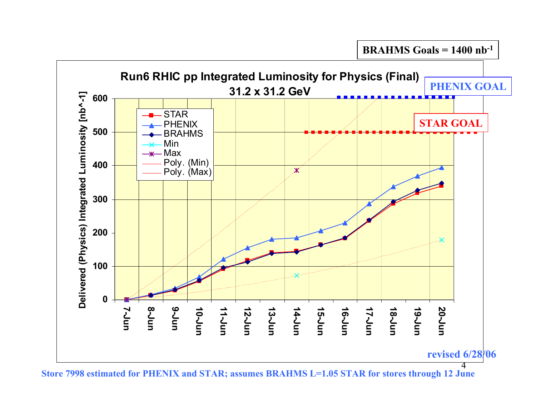

**Store 7998 estimated for PHENIX and STAR; assumes BRAHMS L=1.05 STAR for stores through 12 June**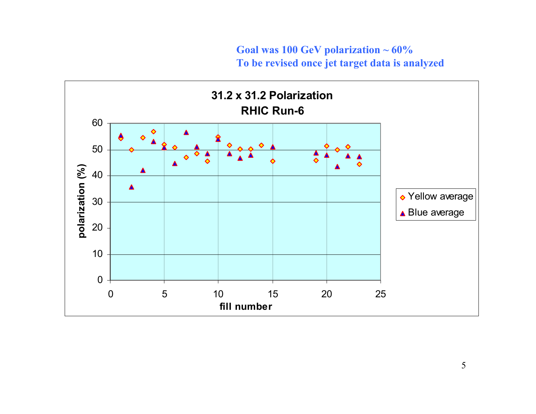#### **Goal was 100 GeV polarization ~ 60% To be revised once jet target data is analyzed**

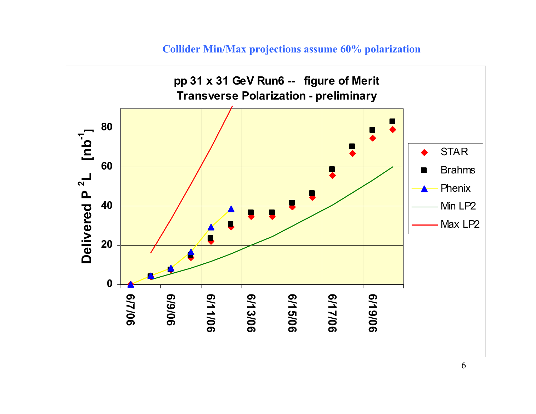#### **Collider Min/Max projections assume 60% polarization**

![](_page_5_Figure_1.jpeg)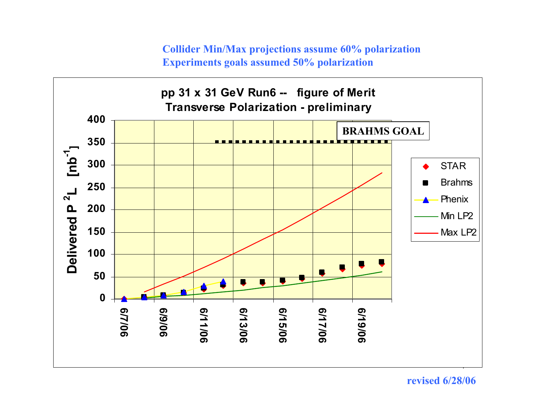**Collider Min/Max projections assume 60% polarization Experiments goals assumed 50% polarization**

![](_page_6_Figure_1.jpeg)

#### **revised 6/28/06**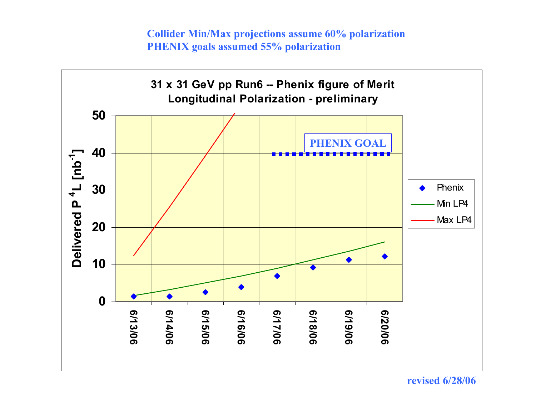**Collider Min/Max projections assume 60% polarization PHENIX goals assumed 55% polarization**

![](_page_7_Figure_1.jpeg)

**revised 6/28/06**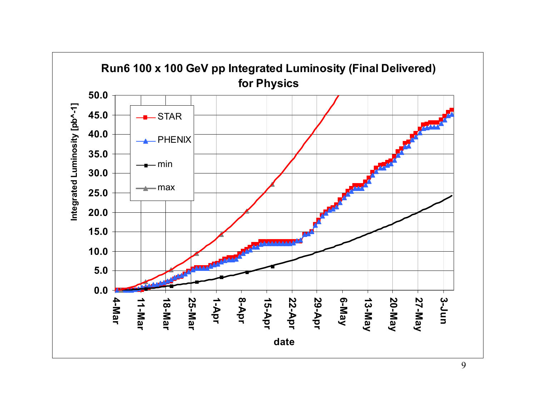![](_page_8_Figure_0.jpeg)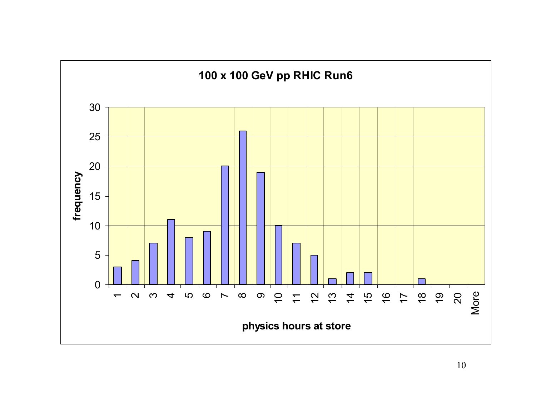![](_page_9_Figure_0.jpeg)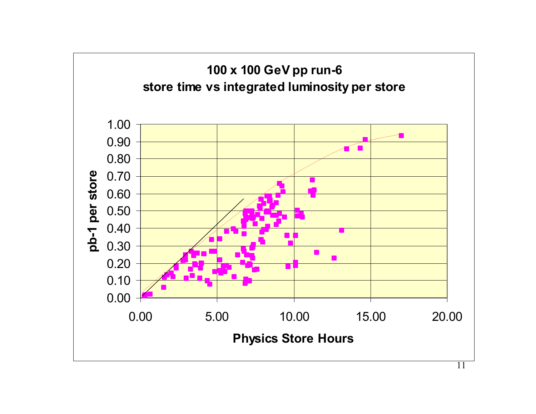![](_page_10_Figure_0.jpeg)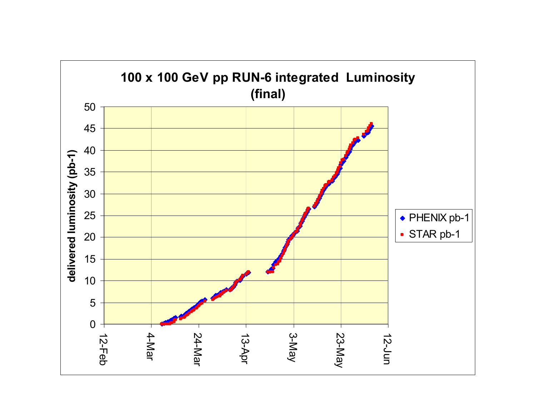![](_page_11_Figure_0.jpeg)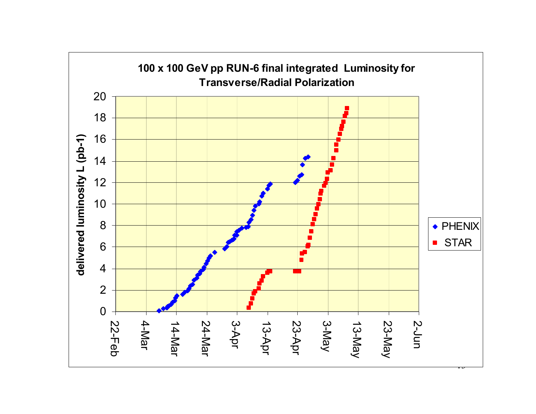![](_page_12_Figure_0.jpeg)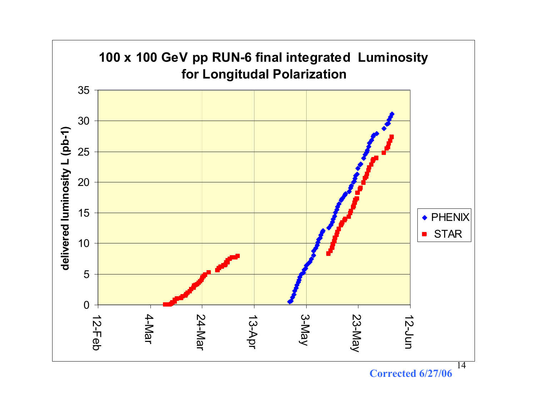![](_page_13_Figure_0.jpeg)

**Corrected 6/27/06**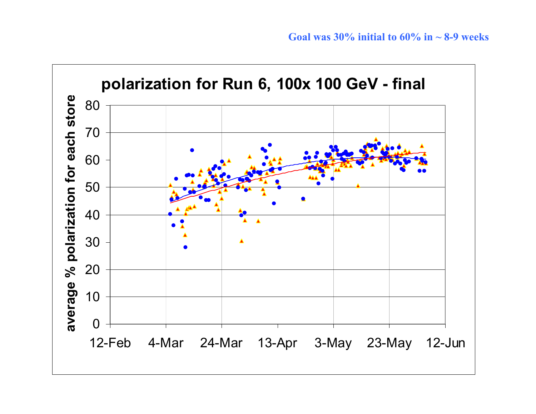![](_page_14_Figure_1.jpeg)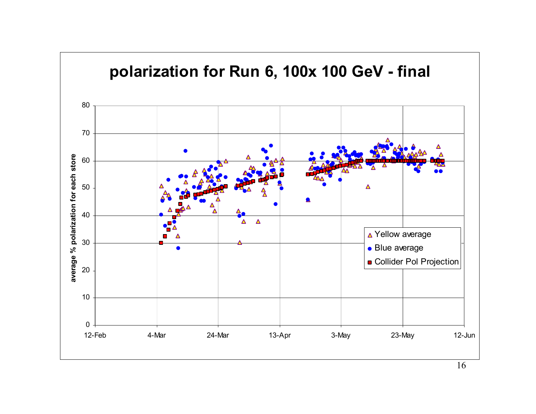![](_page_15_Figure_0.jpeg)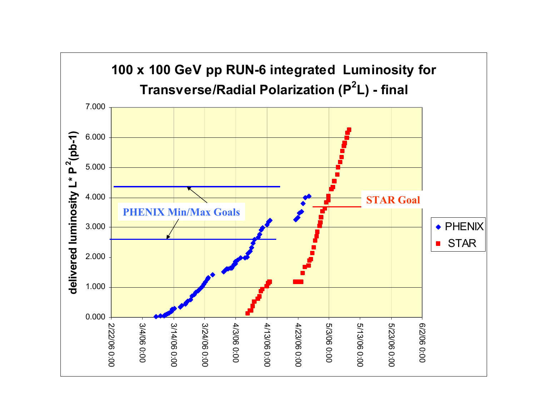![](_page_16_Figure_0.jpeg)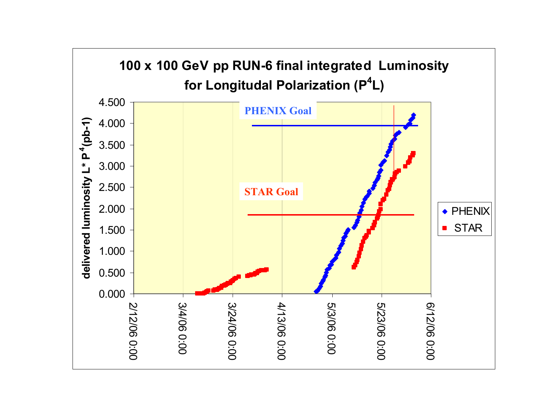![](_page_17_Figure_0.jpeg)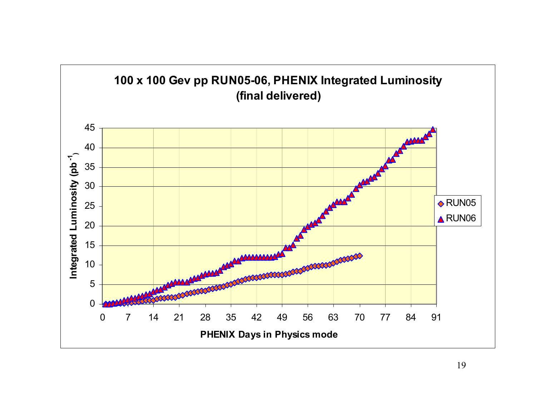![](_page_18_Figure_0.jpeg)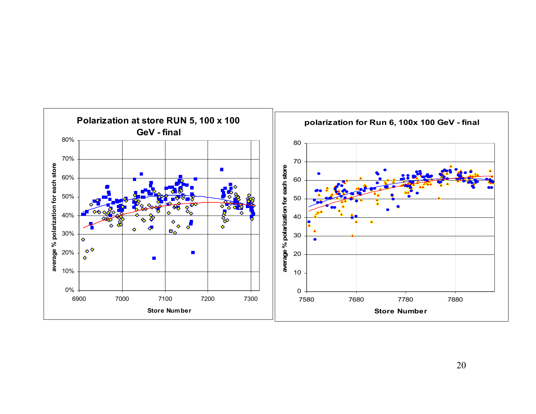![](_page_19_Figure_0.jpeg)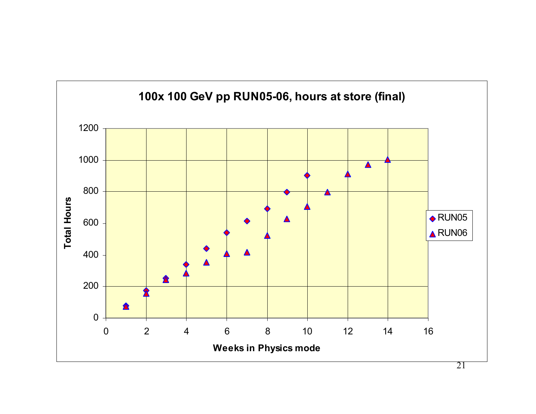![](_page_20_Figure_0.jpeg)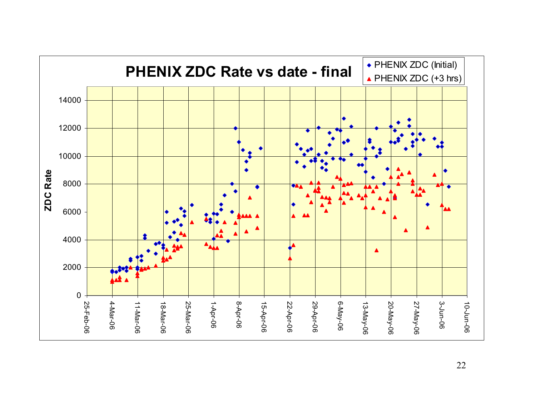![](_page_21_Figure_0.jpeg)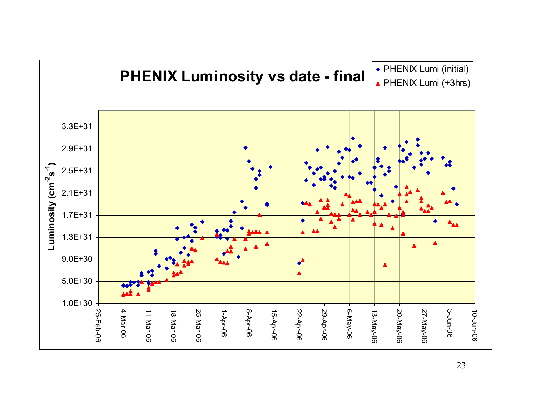![](_page_22_Figure_0.jpeg)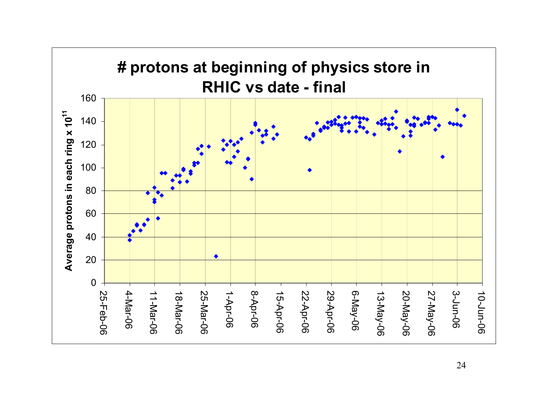![](_page_23_Figure_0.jpeg)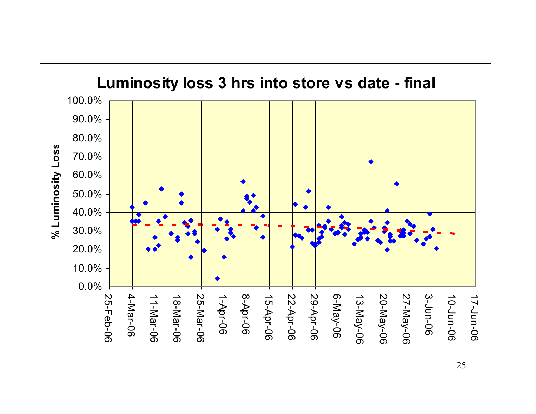![](_page_24_Figure_0.jpeg)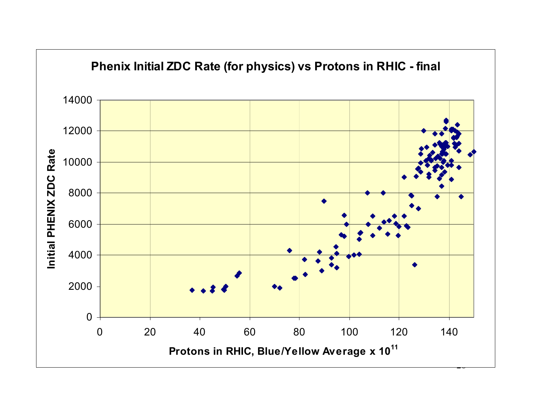![](_page_25_Figure_0.jpeg)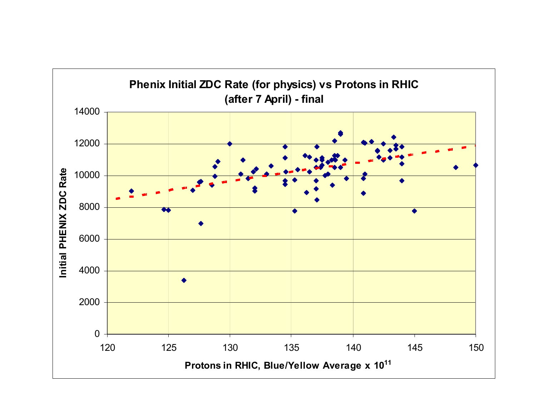![](_page_26_Figure_0.jpeg)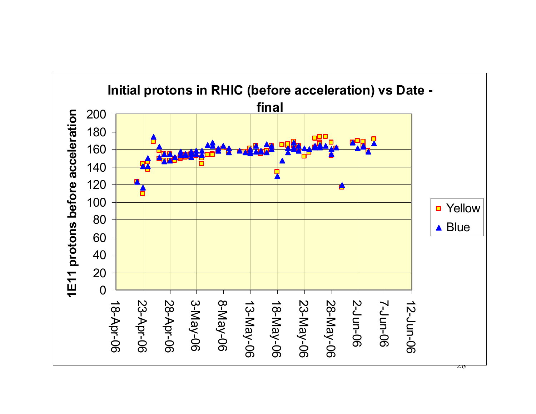![](_page_27_Figure_0.jpeg)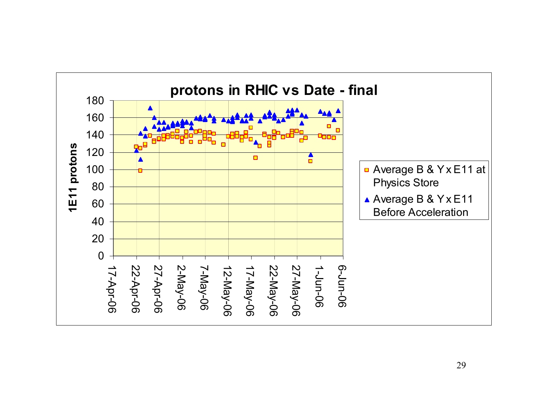![](_page_28_Figure_0.jpeg)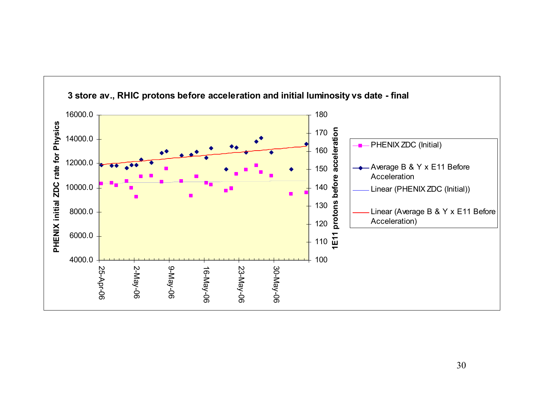![](_page_29_Figure_0.jpeg)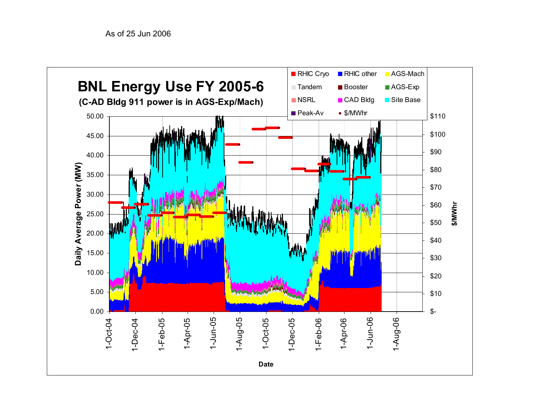![](_page_30_Figure_1.jpeg)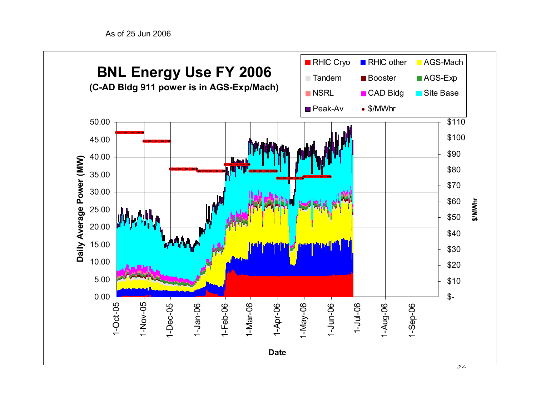As of 25 Jun 2006

![](_page_31_Figure_1.jpeg)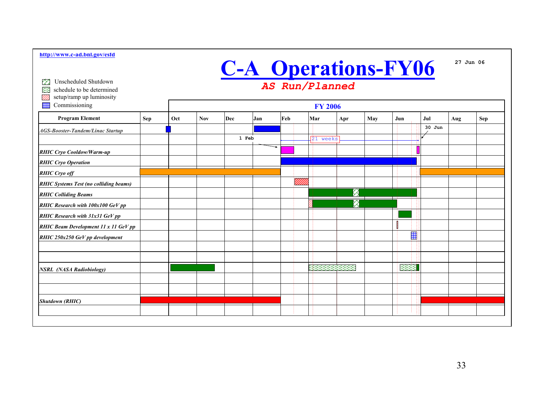## **C-A Operations-FY06**

*AS Run/Planned*

Unscheduled Shutdown∞

schedule to be determinedಜಿ

setup/ramp up luminosity W).

| Commissioning<br>HH                           |     |     |            |       |     |     | <b>FY 2006</b> |                      |     |            |      |          |     |     |
|-----------------------------------------------|-----|-----|------------|-------|-----|-----|----------------|----------------------|-----|------------|------|----------|-----|-----|
| <b>Program Element</b>                        | Sep | Oct | <b>Nov</b> | Dec   | Jan | Feb |                | Mar                  | Apr | May<br>Jun |      | Jul      | Aug | Sep |
| <b>AGS-Booster-Tandem/Linac Startup</b>       |     |     |            |       |     |     |                |                      |     |            |      | $30$ Jun |     |     |
|                                               |     |     |            | 1 Feb |     |     |                | $\sqrt{21}$<br>weeks |     |            |      |          |     |     |
| <b>RHIC Cryo Cooldow/Warm-up</b>              |     |     |            |       | ⇁   |     |                |                      |     |            |      |          |     |     |
| <b>RHIC Cryo Operation</b>                    |     |     |            |       |     |     |                |                      |     |            |      |          |     |     |
| <b>RHIC Cryo off</b>                          |     |     |            |       |     |     |                |                      |     |            |      |          |     |     |
| <b>RHIC Systems Test (no colliding beams)</b> |     |     |            |       |     |     | <u>MM</u>      |                      |     |            |      |          |     |     |
| <b>RHIC Colliding Beams</b>                   |     |     |            |       |     |     |                |                      | ⊗   |            |      |          |     |     |
| RHIC Research with 100x100 GeV pp             |     |     |            |       |     |     |                |                      | Q   |            |      |          |     |     |
| <b>RHIC Research with 31x31 GeV pp</b>        |     |     |            |       |     |     |                |                      |     |            |      |          |     |     |
| <b>RHIC Beam Development 11 x 11 GeV pp</b>   |     |     |            |       |     |     |                |                      |     |            |      |          |     |     |
| RHIC 250x250 GeV pp development               |     |     |            |       |     |     |                |                      |     |            | 罺    |          |     |     |
|                                               |     |     |            |       |     |     |                |                      |     |            |      |          |     |     |
|                                               |     |     |            |       |     |     |                |                      |     |            |      |          |     |     |
| <b>NSRL</b> (NASA Radiobiology)               |     |     |            |       |     |     |                |                      |     |            | 3333 |          |     |     |
|                                               |     |     |            |       |     |     |                |                      |     |            |      |          |     |     |
|                                               |     |     |            |       |     |     |                |                      |     |            |      |          |     |     |
| <b>Shutdown (RHIC)</b>                        |     |     |            |       |     |     |                |                      |     |            |      |          |     |     |
|                                               |     |     |            |       |     |     |                |                      |     |            |      |          |     |     |
|                                               |     |     |            |       |     |     |                |                      |     |            |      |          |     |     |

**27 Jun 06**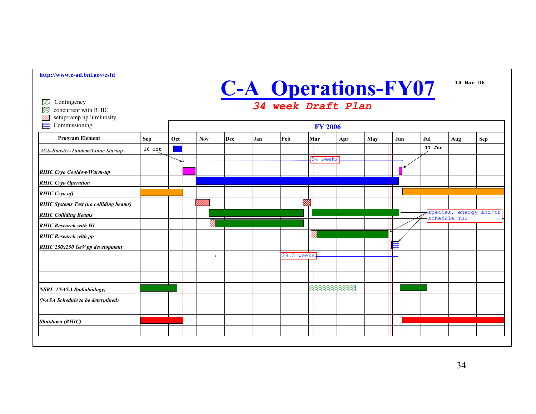| http://www.c-ad.bnl.gov/esfd                                               |                                                  |  |                    |     |     |               |           |     |     |     |          |                                        |  |
|----------------------------------------------------------------------------|--------------------------------------------------|--|--------------------|-----|-----|---------------|-----------|-----|-----|-----|----------|----------------------------------------|--|
|                                                                            |                                                  |  |                    |     |     |               |           |     |     |     |          | 14 Mar 06                              |  |
| Contingency<br>œ<br>83<br>concurrent with RHIC<br>setup/ramp up luminosity | <b>C-A Operations-FY07</b><br>34 week Draft Plan |  |                    |     |     |               |           |     |     |     |          |                                        |  |
| ₩<br>Commissioning                                                         | <b>FY 2006</b>                                   |  |                    |     |     |               |           |     |     |     |          |                                        |  |
| <b>Program Element</b>                                                     | Oct<br><b>Nov</b>                                |  | Dec                | Jan | Feb | Mar           | Apr       | May | Jun | Jul | Aug      | <b>Sep</b>                             |  |
| <b>AGS-Booster-Tandem/Linac Startup</b>                                    | 16 Oct                                           |  |                    |     |     |               |           |     |     |     | $11$ Jun |                                        |  |
|                                                                            |                                                  |  |                    |     |     |               | 34 weeks  |     |     |     |          |                                        |  |
| <b>RHIC Cryo Cooldow/Warm-up</b>                                           |                                                  |  |                    |     |     |               |           |     |     |     |          |                                        |  |
| <b>RHIC Cryo Operation</b>                                                 |                                                  |  |                    |     |     |               |           |     |     |     |          |                                        |  |
| <b>RHIC Cryo off</b>                                                       |                                                  |  |                    |     |     |               |           |     |     |     |          |                                        |  |
| <b>RHIC Systems Test (no colliding beams)</b>                              |                                                  |  | <sup>a</sup> lliin |     |     | V)            |           |     |     |     |          |                                        |  |
| <b>RHIC Colliding Beams</b>                                                |                                                  |  |                    |     |     |               |           |     |     |     |          | species, energy and/or<br>schedule TBD |  |
| <b>RHIC Research with HI</b>                                               |                                                  |  |                    |     |     |               |           |     |     |     |          |                                        |  |
| <b>RHIC Research with pp</b>                                               |                                                  |  |                    |     |     |               |           |     |     |     |          |                                        |  |
| RHIC 250x250 GeV pp development                                            |                                                  |  |                    |     |     |               |           |     |     | ▦   |          |                                        |  |
|                                                                            |                                                  |  |                    |     |     | $28.5$ weeks. |           |     |     |     |          |                                        |  |
|                                                                            |                                                  |  |                    |     |     |               |           |     |     |     |          |                                        |  |
|                                                                            |                                                  |  |                    |     |     |               |           |     |     |     |          |                                        |  |
| <b>NSRL</b> (NASA Radiobiology)                                            |                                                  |  |                    |     |     |               | 333333333 |     |     |     |          |                                        |  |
| (NASA Schedule to be determined)                                           |                                                  |  |                    |     |     |               |           |     |     |     |          |                                        |  |
|                                                                            |                                                  |  |                    |     |     |               |           |     |     |     |          |                                        |  |
| <b>Shutdown (RHIC)</b>                                                     |                                                  |  |                    |     |     |               |           |     |     |     |          |                                        |  |
|                                                                            |                                                  |  |                    |     |     |               |           |     |     |     |          |                                        |  |
|                                                                            |                                                  |  |                    |     |     |               |           |     |     |     |          |                                        |  |

34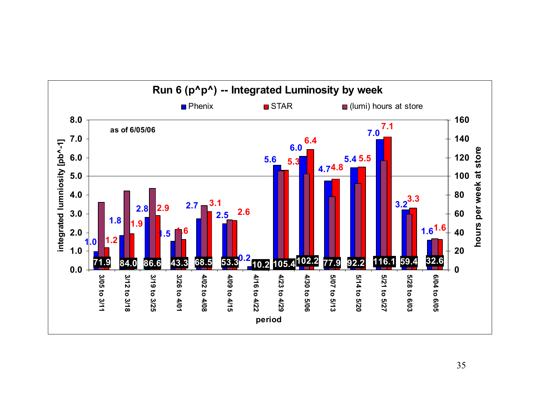![](_page_34_Figure_0.jpeg)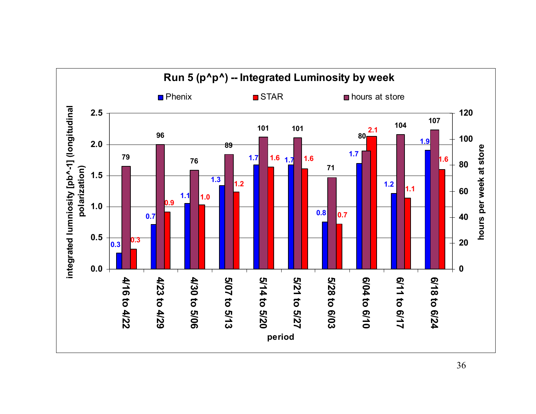![](_page_35_Figure_0.jpeg)